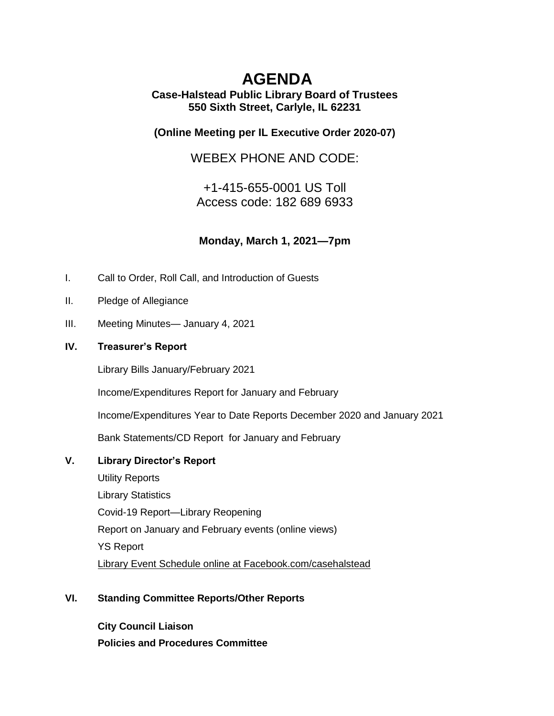# **AGENDA**

## **Case-Halstead Public Library Board of Trustees 550 Sixth Street, Carlyle, IL 62231**

## **(Online Meeting per IL [Executive Order 2020-07\)](https://ila.us12.list-manage.com/track/click?u=6e70654dccbd86e15c572ad55&id=9dbd36cb1d&e=3c5b70de22)**

WEBEX PHONE AND CODE:

+1-415-655-0001 US Toll Access code: 182 689 6933

**Monday, March 1, 2021—7pm**

- I. Call to Order, Roll Call, and Introduction of Guests
- II. Pledge of Allegiance
- III. Meeting Minutes— January 4, 2021

### **IV. Treasurer's Report**

Library Bills January/February 2021

Income/Expenditures Report for January and February

Income/Expenditures Year to Date Reports December 2020 and January 2021

Bank Statements/CD Report for January and February

#### **V. Library Director's Report**

Utility Reports Library Statistics Covid-19 Report—Library Reopening Report on January and February events (online views) YS Report Library Event Schedule online at Facebook.com/casehalstead

#### **VI. Standing Committee Reports/Other Reports**

**City Council Liaison Policies and Procedures Committee**